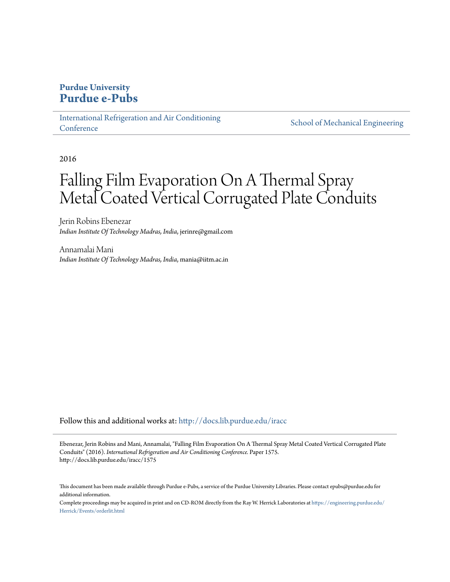# **Purdue University [Purdue e-Pubs](http://docs.lib.purdue.edu?utm_source=docs.lib.purdue.edu%2Firacc%2F1575&utm_medium=PDF&utm_campaign=PDFCoverPages)**

[International Refrigeration and Air Conditioning](http://docs.lib.purdue.edu/iracc?utm_source=docs.lib.purdue.edu%2Firacc%2F1575&utm_medium=PDF&utm_campaign=PDFCoverPages) **[Conference](http://docs.lib.purdue.edu/iracc?utm_source=docs.lib.purdue.edu%2Firacc%2F1575&utm_medium=PDF&utm_campaign=PDFCoverPages)** 

[School of Mechanical Engineering](http://docs.lib.purdue.edu/me?utm_source=docs.lib.purdue.edu%2Firacc%2F1575&utm_medium=PDF&utm_campaign=PDFCoverPages)

2016

# Falling Film Evaporation On A Thermal Spray Metal Coated Vertical Corrugated Plate Conduits

Jerin Robins Ebenezar *Indian Institute Of Technology Madras, India*, jerinre@gmail.com

Annamalai Mani *Indian Institute Of Technology Madras, India*, mania@iitm.ac.in

Follow this and additional works at: [http://docs.lib.purdue.edu/iracc](http://docs.lib.purdue.edu/iracc?utm_source=docs.lib.purdue.edu%2Firacc%2F1575&utm_medium=PDF&utm_campaign=PDFCoverPages)

Ebenezar, Jerin Robins and Mani, Annamalai, "Falling Film Evaporation On A Thermal Spray Metal Coated Vertical Corrugated Plate Conduits" (2016). *International Refrigeration and Air Conditioning Conference.* Paper 1575. http://docs.lib.purdue.edu/iracc/1575

This document has been made available through Purdue e-Pubs, a service of the Purdue University Libraries. Please contact epubs@purdue.edu for additional information.

Complete proceedings may be acquired in print and on CD-ROM directly from the Ray W. Herrick Laboratories at [https://engineering.purdue.edu/](https://engineering.purdue.edu/Herrick/Events/orderlit.html) [Herrick/Events/orderlit.html](https://engineering.purdue.edu/Herrick/Events/orderlit.html)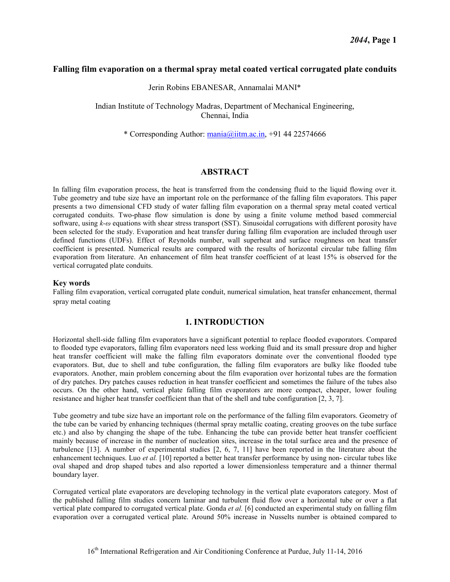# **Falling film evaporation on a thermal spray metal coated vertical corrugated plate conduits**

Jerin Robins EBANESAR, Annamalai MANI\*

Indian Institute of Technology Madras, Department of Mechanical Engineering, Chennai, India

\* Corresponding Author:  $\frac{\text{mania}}{\text{airm} \cdot \text{arc}}$ . +91 44 22574666

# **ABSTRACT**

In falling film evaporation process, the heat is transferred from the condensing fluid to the liquid flowing over it. Tube geometry and tube size have an important role on the performance of the falling film evaporators. This paper presents a two dimensional CFD study of water falling film evaporation on a thermal spray metal coated vertical corrugated conduits. Two-phase flow simulation is done by using a finite volume method based commercial software, using *k-ω* equations with shear stress transport (SST). Sinusoidal corrugations with different porosity have been selected for the study. Evaporation and heat transfer during falling film evaporation are included through user defined functions (UDFs). Effect of Reynolds number, wall superheat and surface roughness on heat transfer coefficient is presented. Numerical results are compared with the results of horizontal circular tube falling film evaporation from literature. An enhancement of film heat transfer coefficient of at least 15% is observed for the vertical corrugated plate conduits.

#### **Key words**

Falling film evaporation, vertical corrugated plate conduit, numerical simulation, heat transfer enhancement, thermal spray metal coating

# **1. INTRODUCTION**

Horizontal shell-side falling film evaporators have a significant potential to replace flooded evaporators. Compared to flooded type evaporators, falling film evaporators need less working fluid and its small pressure drop and higher heat transfer coefficient will make the falling film evaporators dominate over the conventional flooded type evaporators. But, due to shell and tube configuration, the falling film evaporators are bulky like flooded tube evaporators. Another, main problem concerning about the film evaporation over horizontal tubes are the formation of dry patches. Dry patches causes reduction in heat transfer coefficient and sometimes the failure of the tubes also occurs. On the other hand, vertical plate falling film evaporators are more compact, cheaper, lower fouling resistance and higher heat transfer coefficient than that of the shell and tube configuration [2, 3, 7].

Tube geometry and tube size have an important role on the performance of the falling film evaporators. Geometry of the tube can be varied by enhancing techniques (thermal spray metallic coating, creating grooves on the tube surface etc.) and also by changing the shape of the tube. Enhancing the tube can provide better heat transfer coefficient mainly because of increase in the number of nucleation sites, increase in the total surface area and the presence of turbulence [13]. A number of experimental studies [2, 6, 7, 11] have been reported in the literature about the enhancement techniques. Luo *et al.* [10] reported a better heat transfer performance by using non- circular tubes like oval shaped and drop shaped tubes and also reported a lower dimensionless temperature and a thinner thermal boundary layer.

Corrugated vertical plate evaporators are developing technology in the vertical plate evaporators category. Most of the published falling film studies concern laminar and turbulent fluid flow over a horizontal tube or over a flat vertical plate compared to corrugated vertical plate. Gonda *et al.* [6] conducted an experimental study on falling film evaporation over a corrugated vertical plate. Around 50% increase in Nusselts number is obtained compared to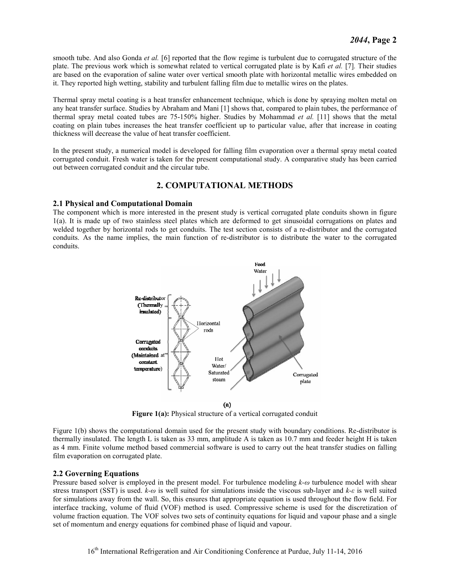smooth tube. And also Gonda *et al.* [6] reported that the flow regime is turbulent due to corrugated structure of the plate. The previous work which is somewhat related to vertical corrugated plate is by Kafi *et al.* [7]*.* Their studies are based on the evaporation of saline water over vertical smooth plate with horizontal metallic wires embedded on it. They reported high wetting, stability and turbulent falling film due to metallic wires on the plates.

Thermal spray metal coating is a heat transfer enhancement technique, which is done by spraying molten metal on any heat transfer surface. Studies by Abraham and Mani [1] shows that, compared to plain tubes, the performance of thermal spray metal coated tubes are 75-150% higher. Studies by Mohammad *et al.* [11] shows that the metal coating on plain tubes increases the heat transfer coefficient up to particular value, after that increase in coating thickness will decrease the value of heat transfer coefficient.

In the present study, a numerical model is developed for falling film evaporation over a thermal spray metal coated corrugated conduit. Fresh water is taken for the present computational study. A comparative study has been carried out between corrugated conduit and the circular tube.

# **2. COMPUTATIONAL METHODS**

#### **2.1 Physical and Computational Domain**

The component which is more interested in the present study is vertical corrugated plate conduits shown in figure 1(a). It is made up of two stainless steel plates which are deformed to get sinusoidal corrugations on plates and welded together by horizontal rods to get conduits. The test section consists of a re-distributor and the corrugated conduits. As the name implies, the main function of re-distributor is to distribute the water to the corrugated conduits.



**Figure 1(a):** Physical structure of a vertical corrugated conduit

Figure 1(b) shows the computational domain used for the present study with boundary conditions. Re-distributor is thermally insulated. The length L is taken as 33 mm, amplitude A is taken as 10.7 mm and feeder height H is taken as 4 mm. Finite volume method based commercial software is used to carry out the heat transfer studies on falling film evaporation on corrugated plate.

# **2.2 Governing Equations**

Pressure based solver is employed in the present model. For turbulence modeling *k-ω* turbulence model with shear stress transport (SST) is used. *k-ω* is well suited for simulations inside the viscous sub-layer and *k-ε* is well suited for simulations away from the wall. So, this ensures that appropriate equation is used throughout the flow field. For interface tracking, volume of fluid (VOF) method is used. Compressive scheme is used for the discretization of volume fraction equation. The VOF solves two sets of continuity equations for liquid and vapour phase and a single set of momentum and energy equations for combined phase of liquid and vapour.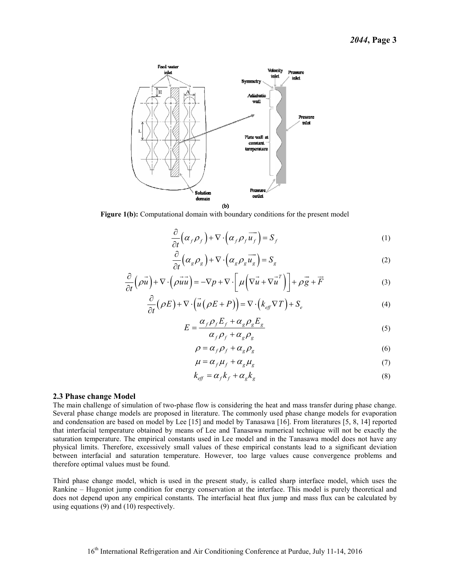

Figure 1(b): Computational domain with boundary conditions for the present model

$$
\frac{\partial}{\partial t} \left( \alpha_f \rho_f \right) + \nabla \cdot \left( \alpha_f \rho_f \overrightarrow{u_f} \right) = S_f \tag{1}
$$

$$
\frac{\partial}{\partial t} \left( \alpha_g \rho_g \right) + \nabla \cdot \left( \alpha_g \rho_g \overrightarrow{u_g} \right) = S_g \tag{2}
$$

$$
\frac{\partial}{\partial t} \left( \rho \vec{u} \right) + \nabla \cdot \left( \rho \vec{u} \vec{u} \right) = -\nabla p + \nabla \cdot \left[ \mu \left( \nabla \vec{u} + \nabla \vec{u}^T \right) \right] + \rho \vec{g} + \vec{F} \tag{3}
$$

$$
\frac{\partial}{\partial t}(\rho E) + \nabla \cdot (\vec{u}(\rho E + P)) = \nabla \cdot (k_{\text{eff}} \nabla T) + S_e
$$
\n(4)

$$
E = \frac{\alpha_f \rho_f E_f + \alpha_g \rho_g E_g}{\alpha_f \rho_f + \alpha_g \rho_g}
$$
\n<sup>(5)</sup>

$$
\rho = \alpha_f \rho_f + \alpha_g \rho_g \tag{6}
$$

$$
\mu = \alpha_f \mu_f + \alpha_g \mu_g \tag{7}
$$

$$
k_{\text{eff}} = \alpha_{\text{f}} k_{\text{f}} + \alpha_{\text{g}} k_{\text{g}} \tag{8}
$$

#### **2.3 Phase change Model**

The main challenge of simulation of two-phase flow is considering the heat and mass transfer during phase change. Several phase change models are proposed in literature. The commonly used phase change models for evaporation and condensation are based on model by Lee [15] and model by Tanasawa [16]. From literatures [5, 8, 14] reported that interfacial temperature obtained by means of Lee and Tanasawa numerical technique will not be exactly the saturation temperature. The empirical constants used in Lee model and in the Tanasawa model does not have any physical limits. Therefore, excessively small values of these empirical constants lead to a significant deviation between interfacial and saturation temperature. However, too large values cause convergence problems and therefore optimal values must be found.

Third phase change model, which is used in the present study, is called sharp interface model, which uses the Rankine – Hugoniot jump condition for energy conservation at the interface. This model is purely theoretical and does not depend upon any empirical constants. The interfacial heat flux jump and mass flux can be calculated by using equations (9) and (10) respectively.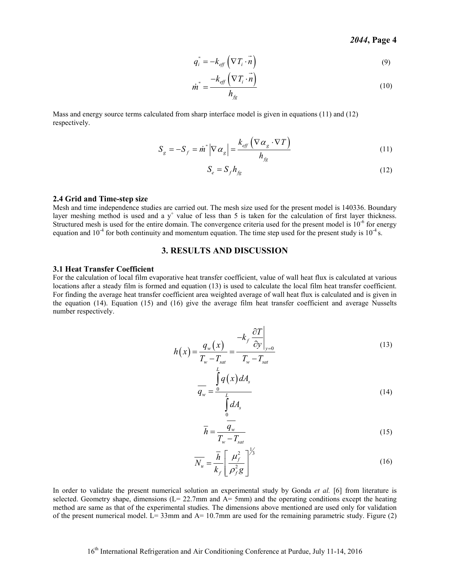$$
q_i^{\dagger} = -k_{\text{eff}} \left( \nabla T_i \cdot \vec{n} \right)
$$
 (9)

$$
\dot{m}^{\dagger} = \frac{-k_{\text{eff}}\left(\nabla T_i \cdot n\right)}{h_{\text{fg}}}
$$
\n(10)

Mass and energy source terms calculated from sharp interface model is given in equations (11) and (12) respectively.

$$
S_g = -S_f = \dot{m}^* \left| \nabla \alpha_g \right| = \frac{k_{\text{eff}} \left( \nabla \alpha_g \cdot \nabla T \right)}{h_{\text{fg}}} \tag{11}
$$

$$
S_e = S_f h_{fg} \tag{12}
$$

#### **2.4 Grid and Time-step size**

Mesh and time independence studies are carried out. The mesh size used for the present model is 140336. Boundary layer meshing method is used and a  $y^+$  value of less than 5 is taken for the calculation of first layer thickness. Structured mesh is used for the entire domain. The convergence criteria used for the present model is  $10^{-6}$  for energy equation and  $10^{-4}$  for both continuity and momentum equation. The time step used for the present study is  $10^{-4}$  s.

#### **3. RESULTS AND DISCUSSION**

#### **3.1 Heat Transfer Coefficient**

For the calculation of local film evaporative heat transfer coefficient, value of wall heat flux is calculated at various locations after a steady film is formed and equation (13) is used to calculate the local film heat transfer coefficient. For finding the average heat transfer coefficient area weighted average of wall heat flux is calculated and is given in the equation (14). Equation (15) and (16) give the average film heat transfer coefficient and average Nusselts number respectively.

$$
h(x) = \frac{q_w(x)}{T_w - T_{sat}} = \frac{-k_f \left. \frac{\partial T}{\partial y} \right|_{y=0}}{T_w - T_{sat}}
$$
(13)

 $(x)$  $\overline{0}$ *s*  $w = L$ *s*  $q(x)$ dA *q dA* = ∫ ∫ (14)

$$
\overline{h} = \frac{\overline{q_w}}{T_w - T_{sat}}\tag{15}
$$

$$
\overline{N_u} = \frac{\overline{h}}{k_f} \left[ \frac{\mu_f^2}{\rho_f^2 g} \right]^{1/3}
$$
\n(16)

In order to validate the present numerical solution an experimental study by Gonda *et al.* [6] from literature is selected. Geometry shape, dimensions ( $L = 22.7$ mm and  $A = 5$ mm) and the operating conditions except the heating method are same as that of the experimental studies. The dimensions above mentioned are used only for validation of the present numerical model. L= 33mm and A=  $10.7$ mm are used for the remaining parametric study. Figure (2)

0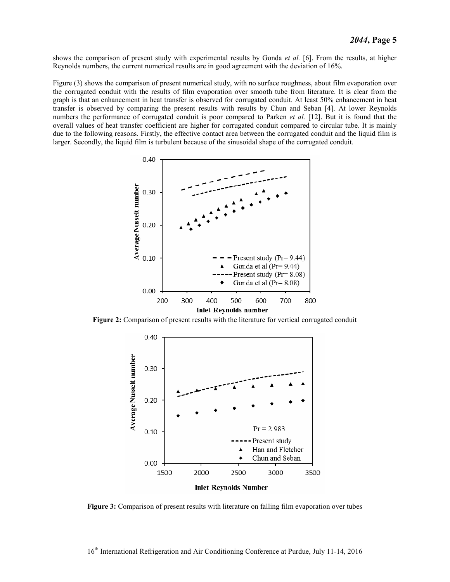shows the comparison of present study with experimental results by Gonda *et al.* [6]. From the results, at higher Reynolds numbers, the current numerical results are in good agreement with the deviation of 16%.

Figure (3) shows the comparison of present numerical study, with no surface roughness, about film evaporation over the corrugated conduit with the results of film evaporation over smooth tube from literature. It is clear from the graph is that an enhancement in heat transfer is observed for corrugated conduit. At least 50% enhancement in heat transfer is observed by comparing the present results with results by Chun and Seban [4]. At lower Reynolds numbers the performance of corrugated conduit is poor compared to Parken *et al.* [12]. But it is found that the overall values of heat transfer coefficient are higher for corrugated conduit compared to circular tube. It is mainly due to the following reasons. Firstly, the effective contact area between the corrugated conduit and the liquid film is larger. Secondly, the liquid film is turbulent because of the sinusoidal shape of the corrugated conduit.



**Figure 2:** Comparison of present results with the literature for vertical corrugated conduit



**Figure 3:** Comparison of present results with literature on falling film evaporation over tubes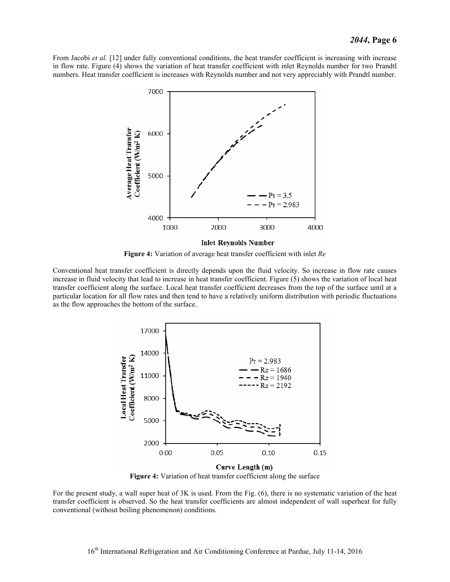From Jacobi *et al.* [12] under fully conventional conditions, the heat transfer coefficient is increasing with increase in flow rate. Figure (4) shows the variation of heat transfer coefficient with inlet Reynolds number for two Prandtl numbers. Heat transfer coefficient is increases with Reynolds number and not very appreciably with Prandtl number.



**Figure 4:** Variation of average heat transfer coefficient with inlet *Re*

Conventional heat transfer coefficient is directly depends upon the fluid velocity. So increase in flow rate causes increase in fluid velocity that lead to increase in heat transfer coefficient. Figure (5) shows the variation of local heat transfer coefficient along the surface. Local heat transfer coefficient decreases from the top of the surface until at a particular location for all flow rates and then tend to have a relatively uniform distribution with periodic fluctuations as the flow approaches the bottom of the surface.



**Figure 4:** Variation of heat transfer coefficient along the surface

For the present study, a wall super heat of 3K is used. From the Fig. (6), there is no systematic variation of the heat transfer coefficient is observed. So the heat transfer coefficients are almost independent of wall superheat for fully conventional (without boiling phenomenon) conditions.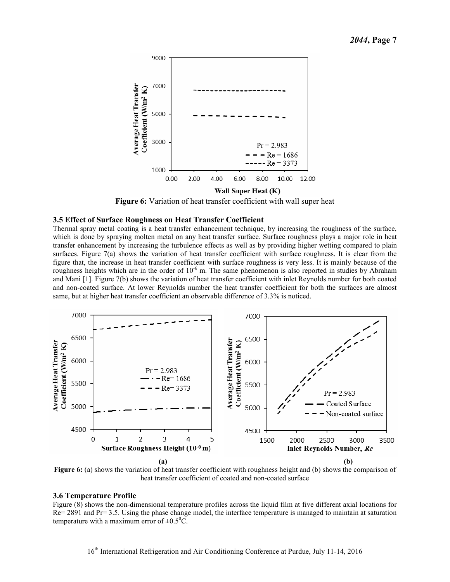

**Figure 6:** Variation of heat transfer coefficient with wall super heat

#### **3.5 Effect of Surface Roughness on Heat Transfer Coefficient**

Thermal spray metal coating is a heat transfer enhancement technique, by increasing the roughness of the surface, which is done by spraying molten metal on any heat transfer surface. Surface roughness plays a major role in heat transfer enhancement by increasing the turbulence effects as well as by providing higher wetting compared to plain surfaces. Figure 7(a) shows the variation of heat transfer coefficient with surface roughness. It is clear from the figure that, the increase in heat transfer coefficient with surface roughness is very less. It is mainly because of the roughness heights which are in the order of  $10^{-6}$  m. The same phenomenon is also reported in studies by Abraham and Mani [1]. Figure 7(b) shows the variation of heat transfer coefficient with inlet Reynolds number for both coated and non-coated surface. At lower Reynolds number the heat transfer coefficient for both the surfaces are almost same, but at higher heat transfer coefficient an observable difference of 3.3% is noticed.



**Figure 6:** (a) shows the variation of heat transfer coefficient with roughness height and (b) shows the comparison of heat transfer coefficient of coated and non-coated surface

#### **3.6 Temperature Profile**

Figure (8) shows the non-dimensional temperature profiles across the liquid film at five different axial locations for Re= 2891 and Pr= 3.5. Using the phase change model, the interface temperature is managed to maintain at saturation temperature with a maximum error of  $\pm 0.5^{\circ}$ C.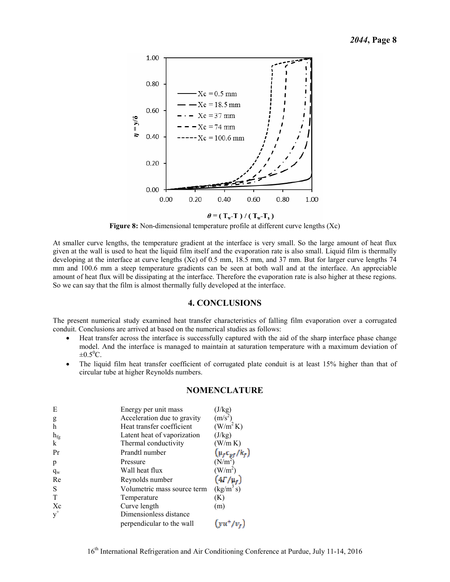

**Figure 8:** Non-dimensional temperature profile at different curve lengths (Xc)

At smaller curve lengths, the temperature gradient at the interface is very small. So the large amount of heat flux given at the wall is used to heat the liquid film itself and the evaporation rate is also small. Liquid film is thermally developing at the interface at curve lengths (Xc) of 0.5 mm, 18.5 mm, and 37 mm. But for larger curve lengths 74 mm and 100.6 mm a steep temperature gradients can be seen at both wall and at the interface. An appreciable amount of heat flux will be dissipating at the interface. Therefore the evaporation rate is also higher at these regions. So we can say that the film is almost thermally fully developed at the interface.

#### **4. CONCLUSIONS**

The present numerical study examined heat transfer characteristics of falling film evaporation over a corrugated conduit. Conclusions are arrived at based on the numerical studies as follows:

- Heat transfer across the interface is successfully captured with the aid of the sharp interface phase change model. And the interface is managed to maintain at saturation temperature with a maximum deviation of  $\pm 0.5^0C$ .
- The liquid film heat transfer coefficient of corrugated plate conduit is at least 15% higher than that of circular tube at higher Reynolds numbers.

| <b>NOMENCLATURE</b> |  |
|---------------------|--|
|---------------------|--|

| E               | Energy per unit mass        | (J/kg)                                      |
|-----------------|-----------------------------|---------------------------------------------|
| g               | Acceleration due to gravity | $(m/s^2)$                                   |
| h               | Heat transfer coefficient   | (W/m <sup>2</sup> K)                        |
| $h_{\text{fg}}$ | Latent heat of vaporization | (J/kg)                                      |
| k               | Thermal conductivity        | (W/m K)                                     |
| Pr              | Prandtl number              | $(\mu_f c_{pf}/k_f)$<br>(N/m <sup>2</sup> ) |
| p               | Pressure                    |                                             |
| $q_w$           | Wall heat flux              | $(W/m^2)$                                   |
| Re              | Reynolds number             | $(4\Gamma/\mu_f)$                           |
| S               | Volumetric mass source term | $(kg/m^3 s)$                                |
|                 | Temperature                 | (K)                                         |
| Xc              | Curve length                | (m)                                         |
|                 | Dimensionless distance      |                                             |
|                 | perpendicular to the wall   | $vu^{\dagger}/v_{\varepsilon}$              |